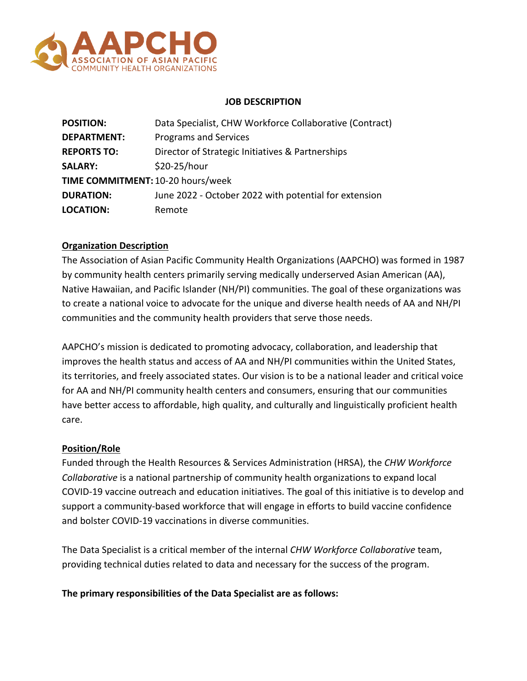

#### **JOB DESCRIPTION**

| <b>POSITION:</b>                  | Data Specialist, CHW Workforce Collaborative (Contract) |
|-----------------------------------|---------------------------------------------------------|
| <b>DEPARTMENT:</b>                | Programs and Services                                   |
| <b>REPORTS TO:</b>                | Director of Strategic Initiatives & Partnerships        |
| <b>SALARY:</b>                    | \$20-25/hour                                            |
| TIME COMMITMENT: 10-20 hours/week |                                                         |
| <b>DURATION:</b>                  | June 2022 - October 2022 with potential for extension   |
| <b>LOCATION:</b>                  | Remote                                                  |

## **Organization Description**

The Association of Asian Pacific Community Health Organizations (AAPCHO) was formed in 1987 by community health centers primarily serving medically underserved Asian American (AA), Native Hawaiian, and Pacific Islander (NH/PI) communities. The goal of these organizations was to create a national voice to advocate for the unique and diverse health needs of AA and NH/PI communities and the community health providers that serve those needs.

AAPCHO's mission is dedicated to promoting advocacy, collaboration, and leadership that improves the health status and access of AA and NH/PI communities within the United States, its territories, and freely associated states. Our vision is to be a national leader and critical voice for AA and NH/PI community health centers and consumers, ensuring that our communities have better access to affordable, high quality, and culturally and linguistically proficient health care.

#### **Position/Role**

Funded through the Health Resources & Services Administration (HRSA), the *CHW Workforce Collaborative* is a national partnership of community health organizations to expand local COVID-19 vaccine outreach and education initiatives. The goal of this initiative is to develop and support a community-based workforce that will engage in efforts to build vaccine confidence and bolster COVID-19 vaccinations in diverse communities.

The Data Specialist is a critical member of the internal *CHW Workforce Collaborative* team, providing technical duties related to data and necessary for the success of the program.

**The primary responsibilities of the Data Specialist are as follows:**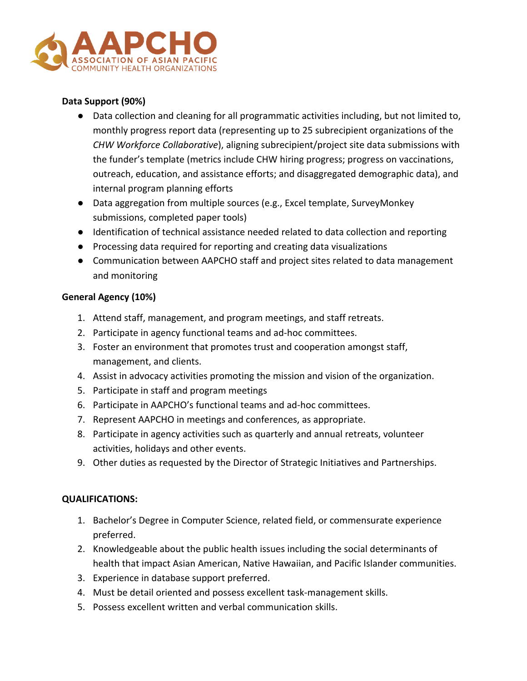

# **Data Support (90%)**

- Data collection and cleaning for all programmatic activities including, but not limited to, monthly progress report data (representing up to 25 subrecipient organizations of the *CHW Workforce Collaborative*), aligning subrecipient/project site data submissions with the funder's template (metrics include CHW hiring progress; progress on vaccinations, outreach, education, and assistance efforts; and disaggregated demographic data), and internal program planning efforts
- Data aggregation from multiple sources (e.g., Excel template, SurveyMonkey submissions, completed paper tools)
- Identification of technical assistance needed related to data collection and reporting
- Processing data required for reporting and creating data visualizations
- Communication between AAPCHO staff and project sites related to data management and monitoring

## **General Agency (10%)**

- 1. Attend staff, management, and program meetings, and staff retreats.
- 2. Participate in agency functional teams and ad-hoc committees.
- 3. Foster an environment that promotes trust and cooperation amongst staff, management, and clients.
- 4. Assist in advocacy activities promoting the mission and vision of the organization.
- 5. Participate in staff and program meetings
- 6. Participate in AAPCHO's functional teams and ad-hoc committees.
- 7. Represent AAPCHO in meetings and conferences, as appropriate.
- 8. Participate in agency activities such as quarterly and annual retreats, volunteer activities, holidays and other events.
- 9. Other duties as requested by the Director of Strategic Initiatives and Partnerships.

#### **QUALIFICATIONS:**

- 1. Bachelor's Degree in Computer Science, related field, or commensurate experience preferred.
- 2. Knowledgeable about the public health issues including the social determinants of health that impact Asian American, Native Hawaiian, and Pacific Islander communities.
- 3. Experience in database support preferred.
- 4. Must be detail oriented and possess excellent task-management skills.
- 5. Possess excellent written and verbal communication skills.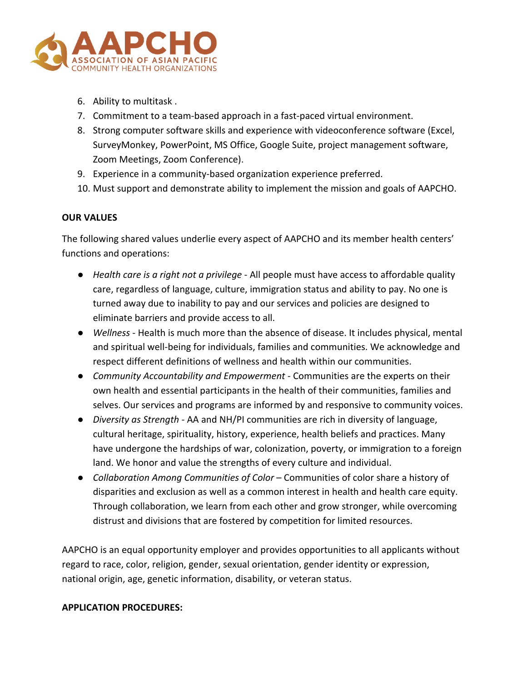

- 6. Ability to multitask .
- 7. Commitment to a team-based approach in a fast-paced virtual environment.
- 8. Strong computer software skills and experience with videoconference software (Excel, SurveyMonkey, PowerPoint, MS Office, Google Suite, project management software, Zoom Meetings, Zoom Conference).
- 9. Experience in a community-based organization experience preferred.
- 10. Must support and demonstrate ability to implement the mission and goals of AAPCHO.

## **OUR VALUES**

The following shared values underlie every aspect of AAPCHO and its member health centers' functions and operations:

- *Health care is a right not a privilege* All people must have access to affordable quality care, regardless of language, culture, immigration status and ability to pay. No one is turned away due to inability to pay and our services and policies are designed to eliminate barriers and provide access to all.
- *Wellness* Health is much more than the absence of disease. It includes physical, mental and spiritual well-being for individuals, families and communities. We acknowledge and respect different definitions of wellness and health within our communities.
- *Community Accountability and Empowerment* Communities are the experts on their own health and essential participants in the health of their communities, families and selves. Our services and programs are informed by and responsive to community voices.
- *Diversity as Strength*  AA and NH/PI communities are rich in diversity of language, cultural heritage, spirituality, history, experience, health beliefs and practices. Many have undergone the hardships of war, colonization, poverty, or immigration to a foreign land. We honor and value the strengths of every culture and individual.
- *Collaboration Among Communities of Color* Communities of color share a history of disparities and exclusion as well as a common interest in health and health care equity. Through collaboration, we learn from each other and grow stronger, while overcoming distrust and divisions that are fostered by competition for limited resources.

AAPCHO is an equal opportunity employer and provides opportunities to all applicants without regard to race, color, religion, gender, sexual orientation, gender identity or expression, national origin, age, genetic information, disability, or veteran status.

## **APPLICATION PROCEDURES:**